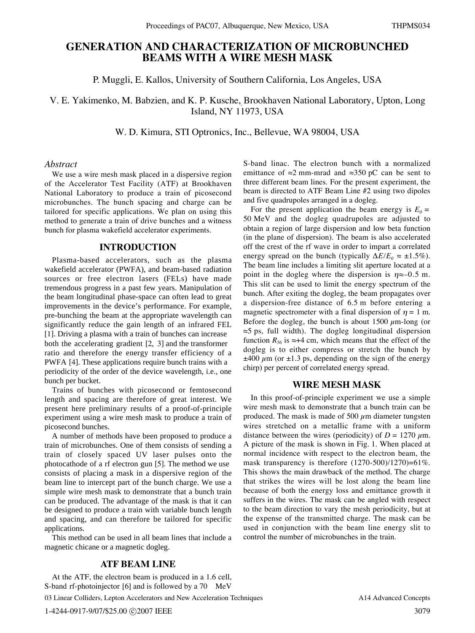# **GENERATION AND CHARACTERIZATION OF MICROBUNCHED BEAMS WITH A WIRE MESH MASK**

P. Muggli, E. Kallos, University of Southern California, Los Angeles, USA

V. E. Yakimenko, M. Babzien, and K. P. Kusche,*,*Brookhaven National Laboratory, Upton, Long Island, NY 11973, USA

W. D. Kimura, STI Optronics, Inc., Bellevue, WA 98004, USA

#### *Abstract*

We use a wire mesh mask placed in a dispersive region of the Accelerator Test Facility (ATF) at Brookhaven National Laboratory to produce a train of picosecond microbunches. The bunch spacing and charge can be tailored for specific applications. We plan on using this method to generate a train of drive bunches and a witness bunch for plasma wakefield accelerator experiments.

## **INTRODUCTION**

Plasma-based accelerators, such as the plasma wakefield accelerator (PWFA), and beam-based radiation sources or free electron lasers (FELs) have made tremendous progress in a past few years. Manipulation of the beam longitudinal phase-space can often lead to great improvements in the device's performance. For example, pre-bunching the beam at the appropriate wavelength can significantly reduce the gain length of an infrared FEL [1]. Driving a plasma with a train of bunches can increase both the accelerating gradient [2, 3] and the transformer ratio and therefore the energy transfer efficiency of a PWFA [4]. These applications require bunch trains with a periodicity of the order of the device wavelength, i.e., one bunch per bucket.

Trains of bunches with picosecond or femtosecond length and spacing are therefore of great interest. We present here preliminary results of a proof-of-principle experiment using a wire mesh mask to produce a train of picosecond bunches.

A number of methods have been proposed to produce a train of microbunches. One of them consists of sending a train of closely spaced UV laser pulses onto the photocathode of a rf electron gun [5]. The method we use consists of placing a mask in a dispersive region of the beam line to intercept part of the bunch charge. We use a simple wire mesh mask to demonstrate that a bunch train can be produced. The advantage of the mask is that it can be designed to produce a train with variable bunch length and spacing, and can therefore be tailored for specific applications.

This method can be used in all beam lines that include a magnetic chicane or a magnetic dogleg.

# **ATF BEAM LINE**

At the ATF, the electron beam is produced in a 1.6 cell, S-band rf-photoinjector [6] and is followed by a 70 MeV 03 Linear Colliders, Lepton Accelerators and New Acceleration Techniques

S-band linac. The electron bunch with a normalized emittance of  $\approx$ 2 mm-mrad and  $\approx$ 350 pC can be sent to three different beam lines. For the present experiment, the beam is directed to ATF Beam Line #2 using two dipoles and five quadrupoles arranged in a dogleg.

For the present application the beam energy is  $E_0 =$ 50 MeV and the dogleg quadrupoles are adjusted to obtain a region of large dispersion and low beta function (in the plane of dispersion). The beam is also accelerated off the crest of the rf wave in order to impart a correlated energy spread on the bunch (typically  $\Delta E/E_0 \approx \pm 1.5\%$ ). The beam line includes a limiting slit aperture located at a point in the dogleg where the dispersion is  $\eta \approx -0.5$  m. This slit can be used to limit the energy spectrum of the bunch. After exiting the dogleg, the beam propagates over a dispersion-free distance of 6.5 m before entering a magnetic spectrometer with a final dispersion of  $\eta = 1$  m. Before the dogleg, the bunch is about 1500  $\mu$ m-long (or  $\approx$ 5 ps, full width). The dogleg longitudinal dispersion function  $R_{56}$  is  $\approx +4$  cm, which means that the effect of the dogleg is to either compress or stretch the bunch by  $\pm$ 400  $\mu$ m (or  $\pm$ 1.3 ps, depending on the sign of the energy chirp) per percent of correlated energy spread.

#### **WIRE MESH MASK**

In this proof-of-principle experiment we use a simple wire mesh mask to demonstrate that a bunch train can be produced. The mask is made of 500  $\mu$ m diameter tungsten wires stretched on a metallic frame with a uniform distance between the wires (periodicity) of  $D = 1270 \mu$ m. A picture of the mask is shown in Fig. 1. When placed at normal incidence with respect to the electron beam, the mask transparency is therefore (1270-500)/1270)=61%. This shows the main drawback of the method. The charge that strikes the wires will be lost along the beam line because of both the energy loss and emittance growth it suffers in the wires. The mask can be angled with respect to the beam direction to vary the mesh periodicity, but at the expense of the transmitted charge. The mask can be used in conjunction with the beam line energy slit to control the number of microbunches in the train.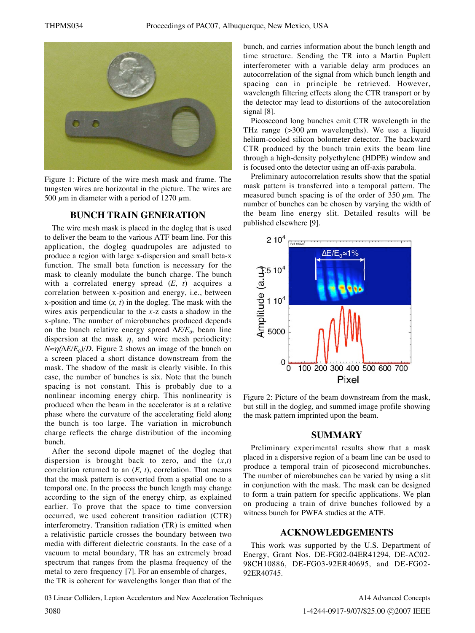

Figure 1: Picture of the wire mesh mask and frame. The tungsten wires are horizontal in the picture. The wires are 500  $\mu$ m in diameter with a period of 1270  $\mu$ m.

## **BUNCH TRAIN GENERATION**

The wire mesh mask is placed in the dogleg that is used to deliver the beam to the various ATF beam line. For this application, the dogleg quadrupoles are adjusted to produce a region with large x-dispersion and small beta-x function. The small beta function is necessary for the mask to cleanly modulate the bunch charge. The bunch with a correlated energy spread (*E, t*) acquires a correlation between x-position and energy, i.e., between x-position and time (*x, t*) in the dogleg. The mask with the wires axis perpendicular to the *x-*z casts a shadow in the x-plane. The number of microbunches produced depends on the bunch relative energy spread  $\Delta E/E_0$ , beam line dispersion at the mask  $\eta$ , and wire mesh periodicity:  $N \approx \eta(\Delta E/E_0)/D$ . Figure 2 shows an image of the bunch on a screen placed a short distance downstream from the mask. The shadow of the mask is clearly visible. In this case, the number of bunches is six. Note that the bunch spacing is not constant. This is probably due to a nonlinear incoming energy chirp. This nonlinearity is produced when the beam in the accelerator is at a relative phase where the curvature of the accelerating field along the bunch is too large. The variation in microbunch charge reflects the charge distribution of the incoming bunch.

After the second dipole magnet of the dogleg that dispersion is brought back to zero, and the (*x,t*) correlation returned to an  $(E, t)$ , correlation. That means that the mask pattern is converted from a spatial one to a temporal one. In the process the bunch length may change according to the sign of the energy chirp, as explained earlier. To prove that the space to time conversion occurred, we used coherent transition radiation (CTR) interferometry. Transition radiation (TR) is emitted when a relativistic particle crosses the boundary between two media with different dielectric constants. In the case of a vacuum to metal boundary, TR has an extremely broad spectrum that ranges from the plasma frequency of the metal to zero frequency [7]. For an ensemble of charges, the TR is coherent for wavelengths longer than that of the bunch, and carries information about the bunch length and time structure. Sending the TR into a Martin Puplett interferometer with a variable delay arm produces an autocorrelation of the signal from which bunch length and spacing can in principle be retrieved. However, wavelength filtering effects along the CTR transport or by the detector may lead to distortions of the autocorelation signal [8].

Picosecond long bunches emit CTR wavelength in the THz range  $(>=300 \mu m$  wavelengths). We use a liquid helium-cooled silicon bolometer detector. The backward CTR produced by the bunch train exits the beam line through a high-density polyethylene (HDPE) window and is focused onto the detector using an off-axis parabola.

Preliminary autocorrelation results show that the spatial mask pattern is transferred into a temporal pattern. The measured bunch spacing is of the order of 350  $\mu$ m. The number of bunches can be chosen by varying the width of the beam line energy slit. Detailed results will be published elsewhere [9].



Figure 2: Picture of the beam downstream from the mask, but still in the dogleg, and summed image profile showing the mask pattern imprinted upon the beam.

### **SUMMARY**

Preliminary experimental results show that a mask placed in a dispersive region of a beam line can be used to produce a temporal train of picosecond microbunches. The number of microbunches can be varied by using a slit in conjunction with the mask. The mask can be designed to form a train pattern for specific applications. We plan on producing a train of drive bunches followed by a witness bunch for PWFA studies at the ATF.

### **ACKNOWLEDGEMENTS**

This work was supported by the U.S. Department of Energy, Grant Nos. DE-FG02-04ER41294, DE-AC02- 98CH10886, DE-FG03-92ER40695, and DE-FG02- 92ER40745.

03 Linear Colliders, Lepton Accelerators and New Acceleration Techniques